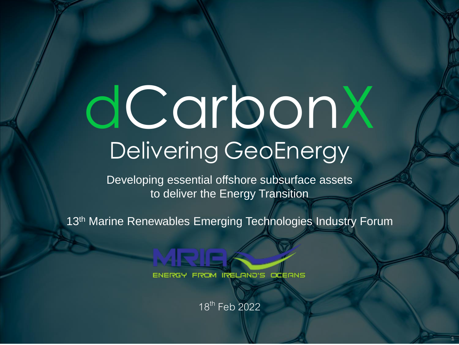# dCarbonX Delivering GeoEnergy

Developing essential offshore subsurface assets to deliver the Energy Transition

13<sup>th</sup> Marine Renewables Emerging Technologies Industry Forum



18<sup>th</sup> Feb 2022

1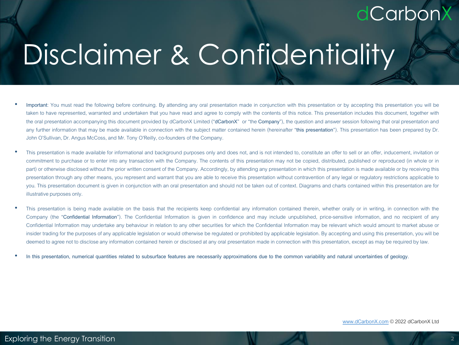## Disclaimer & Confidentiality

- **Important**: You must read the following before continuing. By attending any oral presentation made in conjunction with this presentation or by accepting this presentation you will be taken to have represented, warranted and undertaken that you have read and agree to comply with the contents of this notice. This presentation includes this document, together with the oral presentationaccompanying this document provided by dCarbonX Limited ("**dCarbonX**" or "the **Company**"), the question and answer session following that oral presentation and any further information that may be made available in connection with the subject matter contained herein (hereinafter "**this presentation**"). This presentation has been prepared by Dr. John O'Sullivan, Dr. Angus McCoss, and Mr. Tony O'Reilly, co-founders of the Company.
- This presentation is made available for informational and background purposes only and does not, and is not intended to, constitute an offer to sell or an offer, inducement, invitation or commitment to purchase or to enter into any transaction with the Company. The contents of this presentation may not be copied, distributed, published or reproduced (in whole or in part) or otherwise disclosed without the prior written consent of the Company. Accordingly, by attending any presentation in which this presentation is made available or by receiving this presentation through any other means, you represent and warrant that you are able to receive this presentation without contravention of any legal or regulatory restrictions applicable to you. This presentation document is given in conjunction with an oral presentation and should not be taken out of context. Diagrams and charts contained within this presentation are for illustrative purposes only.
- This presentation is being made available on the basis that the recipients keep confidential any information contained therein, whether orally or in writing, in connection with the Company (the "**Confidential Information**"). The Confidential Information is given in confidence and may include unpublished, price-sensitive information, and no recipient of any Confidential Information may undertake any behaviour in relation to any other securities for which the Confidential Information may be relevant which would amount to market abuse or insider trading for the purposes of any applicable legislation or would otherwise be regulated or prohibited by applicable legislation. By accepting and using this presentation, you will be deemed to agree not to disclose any information contained herein or disclosed at any oral presentation made in connection with this presentation, except as may be required by law.
- In this presentation, numerical quantities related to subsurface features are necessarily approximations due to the common variability and natural uncertainties of geology.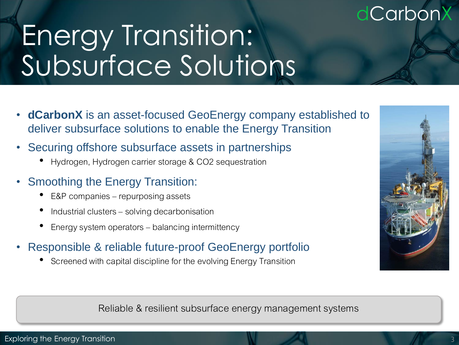## Energy Transition: Subsurface Solutions

- **dCarbonX** is an asset-focused GeoEnergy company established to deliver subsurface solutions to enable the Energy Transition
- Securing offshore subsurface assets in partnerships
	- Hydrogen, Hydrogen carrier storage & CO2 sequestration
- Smoothing the Energy Transition:
	- E&P companies repurposing assets
	- Industrial clusters solving decarbonisation
	- Energy system operators balancing intermittency
- Responsible & reliable future-proof GeoEnergy portfolio
	- Screened with capital discipline for the evolving Energy Transition



Reliable & resilient subsurface energy management systems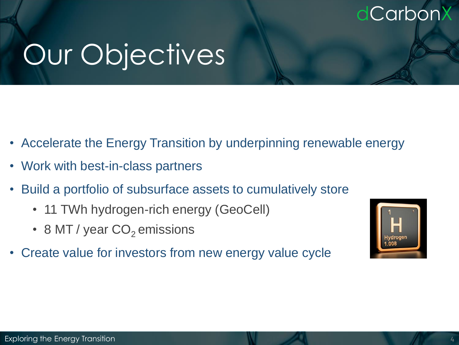## Our Objectives

- Accelerate the Energy Transition by underpinning renewable energy
- Work with best-in-class partners
- Build a portfolio of subsurface assets to cumulatively store
	- 11 TWh hydrogen-rich energy (GeoCell)
	- 8 MT / year  $CO<sub>2</sub>$  emissions
- $\overline{P}$ • Create value for investors from new energy value cycle

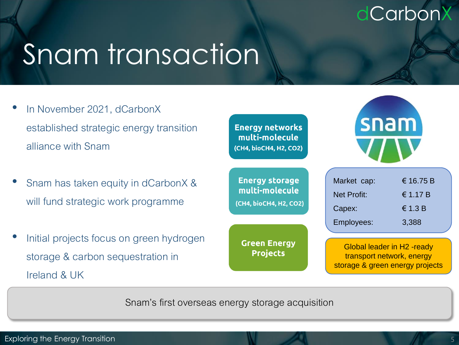## Snam transaction

- In November 2021, dCarbonX established strategic energy transition alliance with Snam
- Snam has taken equity in dCarbonX & will fund strategic work programme
- Initial projects focus on green hydroge storage & carbon sequestration in Ireland & UK

|    | <b>Energy networks</b><br>multi-molecule<br>(CH4, bioCH4, H2, CO2) | snam                                        |                                                                                                            |
|----|--------------------------------------------------------------------|---------------------------------------------|------------------------------------------------------------------------------------------------------------|
|    | <b>Energy storage</b><br>multi-molecule<br>(CH4, bioCH4, H2, CO2)  | Market cap:<br><b>Net Profit:</b><br>Capex: | € 16.75 B<br>€ 1.17 B<br>$\in$ 1.3 B                                                                       |
| en | <b>Green Energy</b><br><b>Projects</b>                             | Employees:                                  | 3,388<br><b>Global leader in H2 -ready</b><br>transport network, energy<br>storage & green energy projects |

Snam's first overseas energy storage acquisition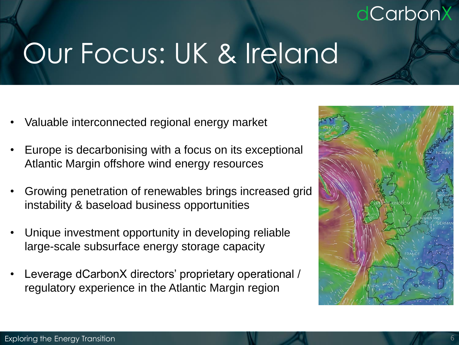## Our Focus: UK & Ireland

- Valuable interconnected regional energy market
- Europe is decarbonising with a focus on its exceptional Atlantic Margin offshore wind energy resources
- Growing penetration of renewables brings increased grid instability & baseload business opportunities
- Unique investment opportunity in developing reliable large-scale subsurface energy storage capacity
- Leverage dCarbonX directors' proprietary operational / regulatory experience in the Atlantic Margin region

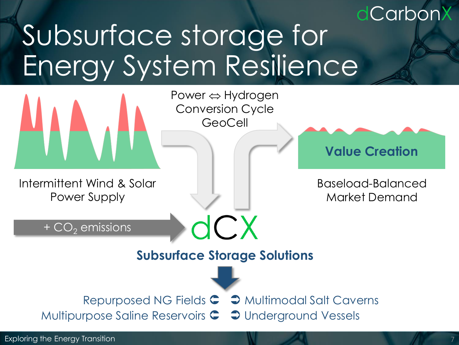### dCarbonX Subsurface storage for Energy System Resilience

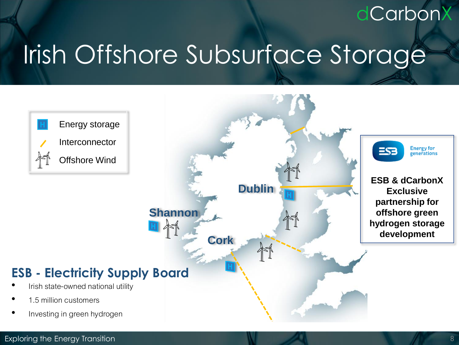## Irish Offshore Subsurface Storage





#### Exploring the Energy Transition 8

dCarbonX